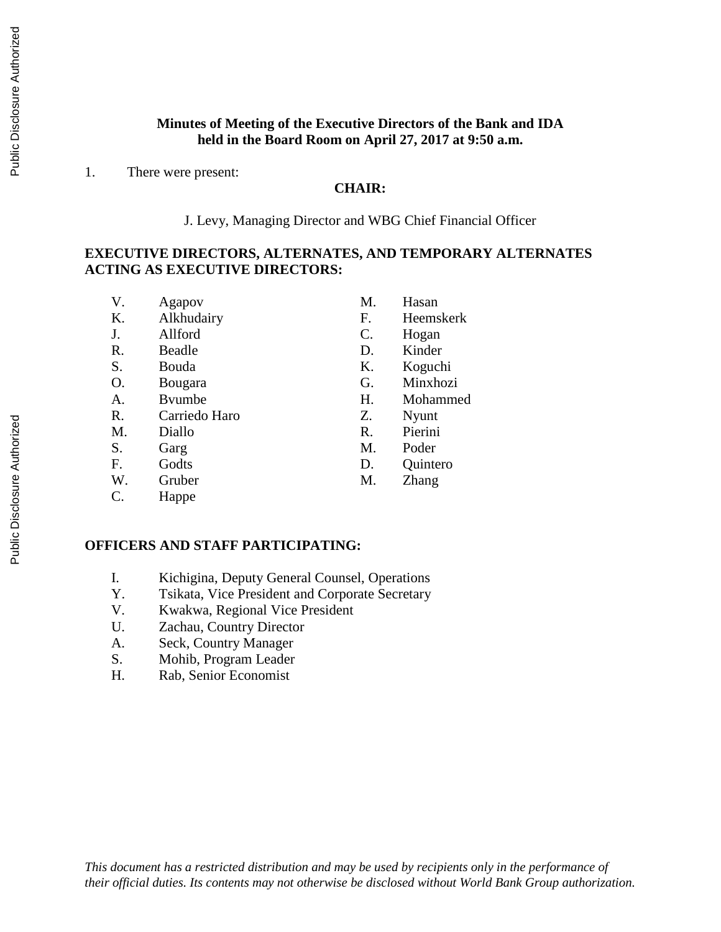### **Minutes of Meeting of the Executive Directors of the Bank and IDA held in the Board Room on April 27, 2017 at 9:50 a.m.**

1. There were present:

#### **CHAIR:**

J. Levy, Managing Director and WBG Chief Financial Officer

#### **EXECUTIVE DIRECTORS, ALTERNATES, AND TEMPORARY ALTERNATES ACTING AS EXECUTIVE DIRECTORS:**

| V.              | Agapov         | M. | Hasan     |
|-----------------|----------------|----|-----------|
| Κ.              | Alkhudairy     | F. | Heemskerk |
| J.              | Allford        | C. | Hogan     |
| R.              | Beadle         | D. | Kinder    |
| S.              | Bouda          | Κ. | Koguchi   |
| O.              | Bougara        | G. | Minxhozi  |
| А.              | <b>B</b> vumbe | Η. | Mohammed  |
| R.              | Carriedo Haro  | Z. | Nyunt     |
| M.              | Diallo         | R. | Pierini   |
| S.              | Garg           | М. | Poder     |
| $F_{\cdot}$     | Godts          | D. | Quintero  |
| W.              | Gruber         | М. | Zhang     |
| $\mathcal{C}$ . | Happe          |    |           |

#### **OFFICERS AND STAFF PARTICIPATING:**

- I. Kichigina, Deputy General Counsel, Operations
- Y. Tsikata, Vice President and Corporate Secretary
- V. Kwakwa, Regional Vice President
- U. Zachau, Country Director
- A. Seck, Country Manager
- S. Mohib, Program Leader
- H. Rab, Senior Economist

*This document has a restricted distribution and may be used by recipients only in the performance of their official duties. Its contents may not otherwise be disclosed without World Bank Group authorization.*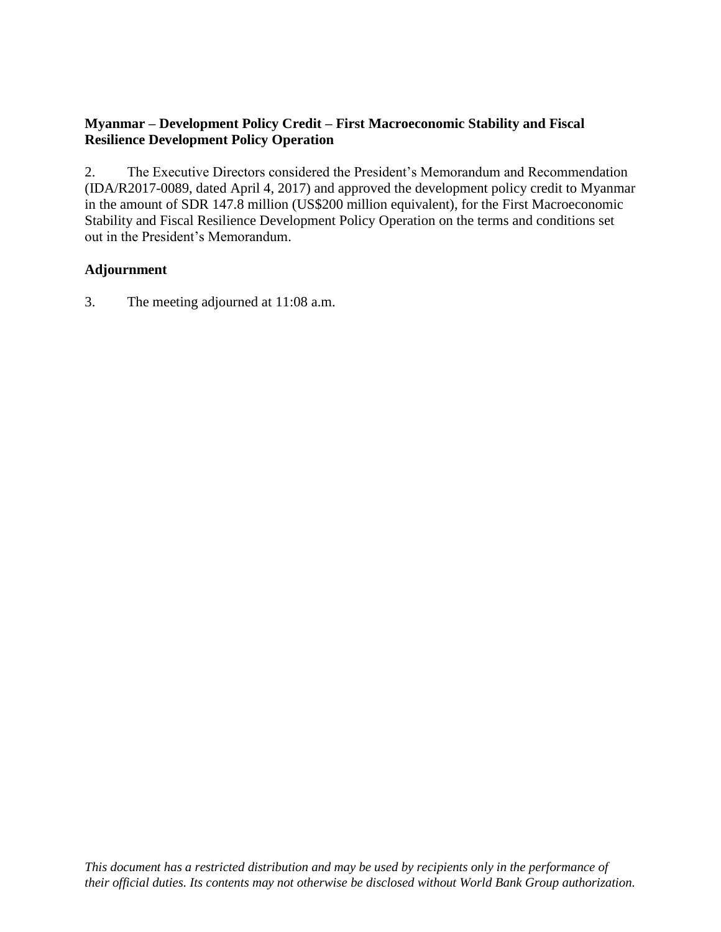### **Myanmar – Development Policy Credit – First Macroeconomic Stability and Fiscal Resilience Development Policy Operation**

2. The Executive Directors considered the President's Memorandum and Recommendation (IDA/R2017-0089, dated April 4, 2017) and approved the development policy credit to Myanmar in the amount of SDR 147.8 million (US\$200 million equivalent), for the First Macroeconomic Stability and Fiscal Resilience Development Policy Operation on the terms and conditions set out in the President's Memorandum.

### **Adjournment**

3. The meeting adjourned at 11:08 a.m.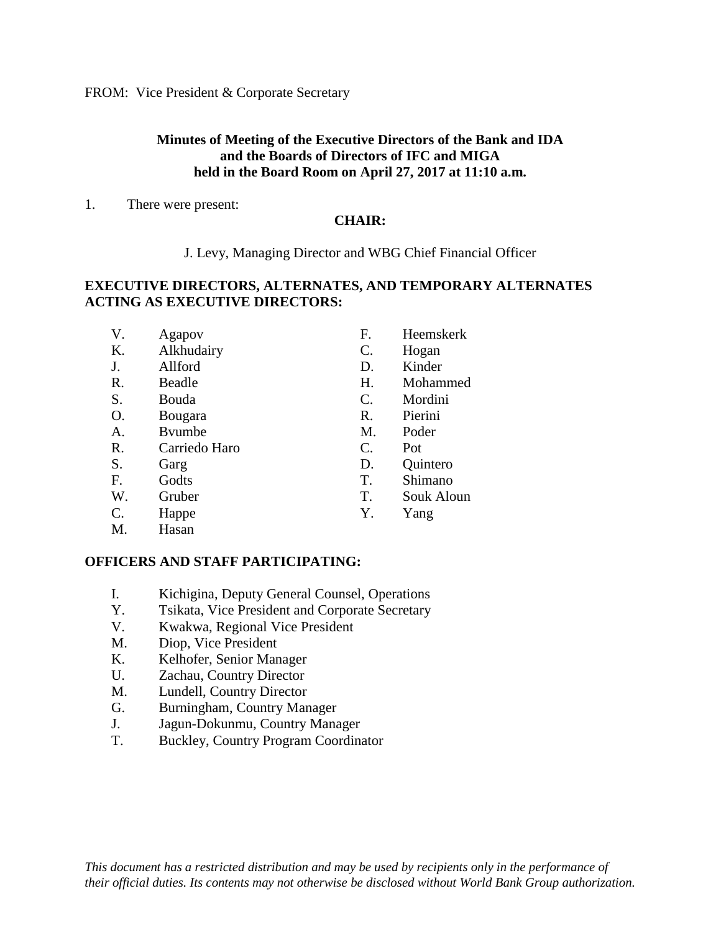FROM: Vice President & Corporate Secretary

#### **Minutes of Meeting of the Executive Directors of the Bank and IDA and the Boards of Directors of IFC and MIGA held in the Board Room on April 27, 2017 at 11:10 a.m.**

1. There were present:

#### **CHAIR:**

J. Levy, Managing Director and WBG Chief Financial Officer

### **EXECUTIVE DIRECTORS, ALTERNATES, AND TEMPORARY ALTERNATES ACTING AS EXECUTIVE DIRECTORS:**

| V.              | Agapov        | F. | Heemskerk  |
|-----------------|---------------|----|------------|
| K.              | Alkhudairy    | C. | Hogan      |
| J.              | Allford       | D. | Kinder     |
| R.              | Beadle        | H. | Mohammed   |
| S.              | Bouda         | C. | Mordini    |
| O.              | Bougara       | R. | Pierini    |
| Α.              | Byumbe        | M. | Poder      |
| R.              | Carriedo Haro | C. | Pot        |
| S.              | Garg          | D. | Quintero   |
| F.              | Godts         | T. | Shimano    |
| W.              | Gruber        | T. | Souk Aloun |
| $\mathcal{C}$ . | Happe         | Y. | Yang       |
| M.              | Hasan         |    |            |
|                 |               |    |            |

#### **OFFICERS AND STAFF PARTICIPATING:**

- I. Kichigina, Deputy General Counsel, Operations
- Y. Tsikata, Vice President and Corporate Secretary
- V. Kwakwa, Regional Vice President
- M. Diop, Vice President
- K. Kelhofer, Senior Manager
- U. Zachau, Country Director
- M. Lundell, Country Director
- G. Burningham, Country Manager
- J. Jagun-Dokunmu, Country Manager
- T. Buckley, Country Program Coordinator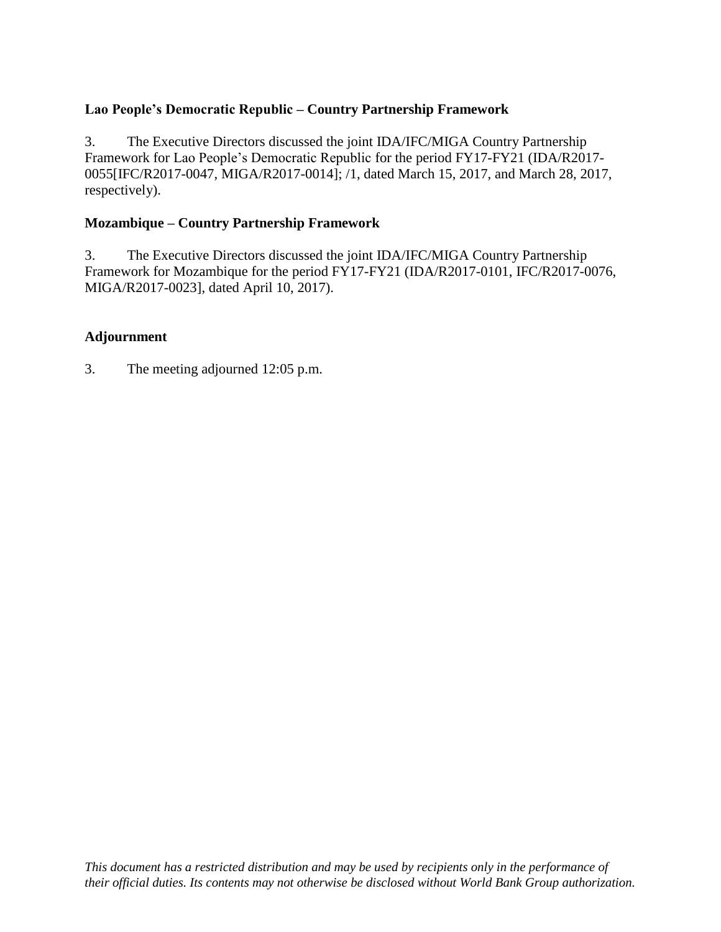## **Lao People's Democratic Republic – Country Partnership Framework**

3. The Executive Directors discussed the joint IDA/IFC/MIGA Country Partnership Framework for Lao People's Democratic Republic for the period FY17-FY21 (IDA/R2017- 0055[IFC/R2017-0047, MIGA/R2017-0014]; /1, dated March 15, 2017, and March 28, 2017, respectively).

#### **Mozambique – Country Partnership Framework**

3. The Executive Directors discussed the joint IDA/IFC/MIGA Country Partnership Framework for Mozambique for the period FY17-FY21 (IDA/R2017-0101, IFC/R2017-0076, MIGA/R2017-0023], dated April 10, 2017).

#### **Adjournment**

3. The meeting adjourned 12:05 p.m.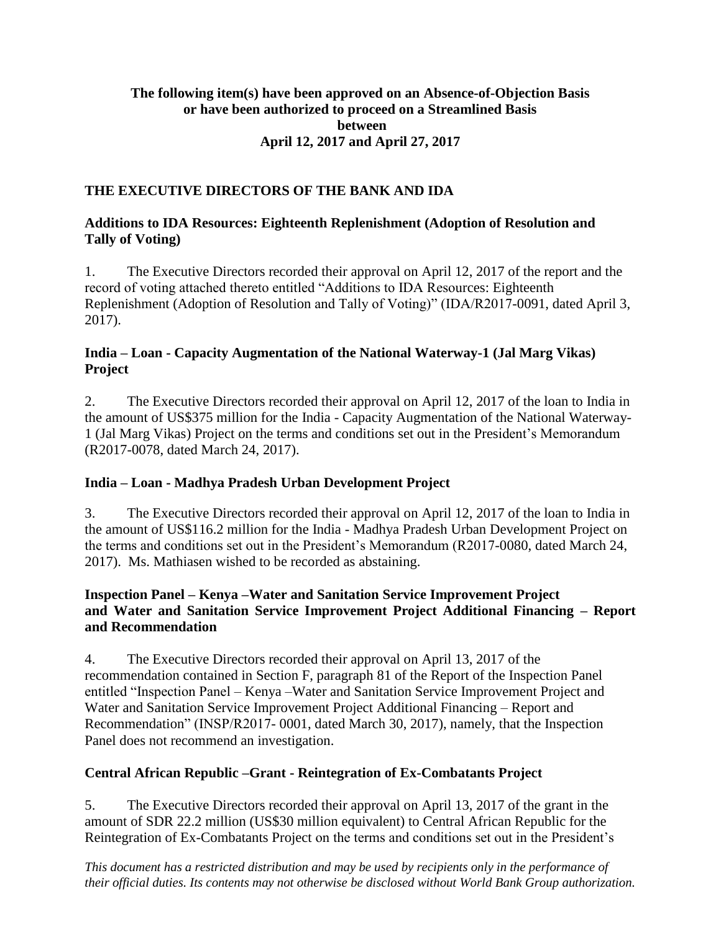#### **The following item(s) have been approved on an Absence-of-Objection Basis or have been authorized to proceed on a Streamlined Basis between April 12, 2017 and April 27, 2017**

### **THE EXECUTIVE DIRECTORS OF THE BANK AND IDA**

### **Additions to IDA Resources: Eighteenth Replenishment (Adoption of Resolution and Tally of Voting)**

1. The Executive Directors recorded their approval on April 12, 2017 of the report and the record of voting attached thereto entitled "Additions to IDA Resources: Eighteenth Replenishment (Adoption of Resolution and Tally of Voting)" (IDA/R2017-0091, dated April 3, 2017).

### **India – Loan - Capacity Augmentation of the National Waterway-1 (Jal Marg Vikas) Project**

2. The Executive Directors recorded their approval on April 12, 2017 of the loan to India in the amount of US\$375 million for the India - Capacity Augmentation of the National Waterway-1 (Jal Marg Vikas) Project on the terms and conditions set out in the President's Memorandum (R2017-0078, dated March 24, 2017).

### **India – Loan - Madhya Pradesh Urban Development Project**

3. The Executive Directors recorded their approval on April 12, 2017 of the loan to India in the amount of US\$116.2 million for the India - Madhya Pradesh Urban Development Project on the terms and conditions set out in the President's Memorandum (R2017-0080, dated March 24, 2017). Ms. Mathiasen wished to be recorded as abstaining.

### **Inspection Panel – Kenya –Water and Sanitation Service Improvement Project and Water and Sanitation Service Improvement Project Additional Financing – Report and Recommendation**

4. The Executive Directors recorded their approval on April 13, 2017 of the recommendation contained in Section F, paragraph 81 of the Report of the Inspection Panel entitled "Inspection Panel – Kenya –Water and Sanitation Service Improvement Project and Water and Sanitation Service Improvement Project Additional Financing – Report and Recommendation" (INSP/R2017- 0001, dated March 30, 2017), namely, that the Inspection Panel does not recommend an investigation.

### **Central African Republic –Grant - Reintegration of Ex-Combatants Project**

5. The Executive Directors recorded their approval on April 13, 2017 of the grant in the amount of SDR 22.2 million (US\$30 million equivalent) to Central African Republic for the Reintegration of Ex-Combatants Project on the terms and conditions set out in the President's

*This document has a restricted distribution and may be used by recipients only in the performance of their official duties. Its contents may not otherwise be disclosed without World Bank Group authorization.*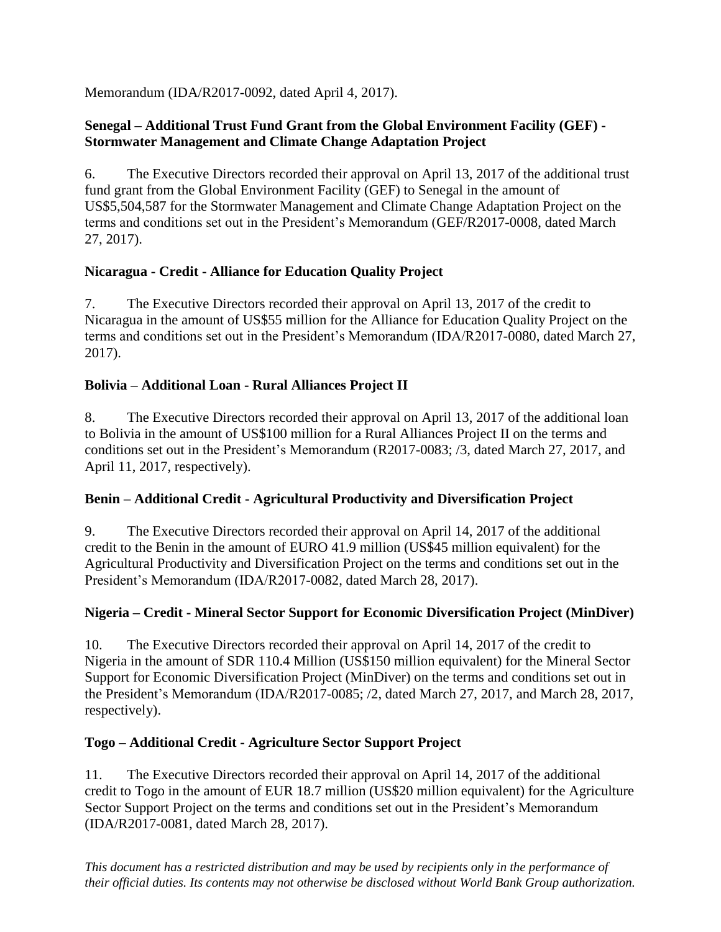Memorandum (IDA/R2017-0092, dated April 4, 2017).

## **Senegal – Additional Trust Fund Grant from the Global Environment Facility (GEF) - Stormwater Management and Climate Change Adaptation Project**

6. The Executive Directors recorded their approval on April 13, 2017 of the additional trust fund grant from the Global Environment Facility (GEF) to Senegal in the amount of US\$5,504,587 for the Stormwater Management and Climate Change Adaptation Project on the terms and conditions set out in the President's Memorandum (GEF/R2017-0008, dated March 27, 2017).

## **Nicaragua - Credit - Alliance for Education Quality Project**

7. The Executive Directors recorded their approval on April 13, 2017 of the credit to Nicaragua in the amount of US\$55 million for the Alliance for Education Quality Project on the terms and conditions set out in the President's Memorandum (IDA/R2017-0080, dated March 27, 2017).

# **Bolivia – Additional Loan - Rural Alliances Project II**

8. The Executive Directors recorded their approval on April 13, 2017 of the additional loan to Bolivia in the amount of US\$100 million for a Rural Alliances Project II on the terms and conditions set out in the President's Memorandum (R2017-0083; /3, dated March 27, 2017, and April 11, 2017, respectively).

## **Benin – Additional Credit - Agricultural Productivity and Diversification Project**

9. The Executive Directors recorded their approval on April 14, 2017 of the additional credit to the Benin in the amount of EURO 41.9 million (US\$45 million equivalent) for the Agricultural Productivity and Diversification Project on the terms and conditions set out in the President's Memorandum (IDA/R2017-0082, dated March 28, 2017).

## **Nigeria – Credit - Mineral Sector Support for Economic Diversification Project (MinDiver)**

10. The Executive Directors recorded their approval on April 14, 2017 of the credit to Nigeria in the amount of SDR 110.4 Million (US\$150 million equivalent) for the Mineral Sector Support for Economic Diversification Project (MinDiver) on the terms and conditions set out in the President's Memorandum (IDA/R2017-0085; /2, dated March 27, 2017, and March 28, 2017, respectively).

## **Togo – Additional Credit - Agriculture Sector Support Project**

11. The Executive Directors recorded their approval on April 14, 2017 of the additional credit to Togo in the amount of EUR 18.7 million (US\$20 million equivalent) for the Agriculture Sector Support Project on the terms and conditions set out in the President's Memorandum (IDA/R2017-0081, dated March 28, 2017).

*This document has a restricted distribution and may be used by recipients only in the performance of their official duties. Its contents may not otherwise be disclosed without World Bank Group authorization.*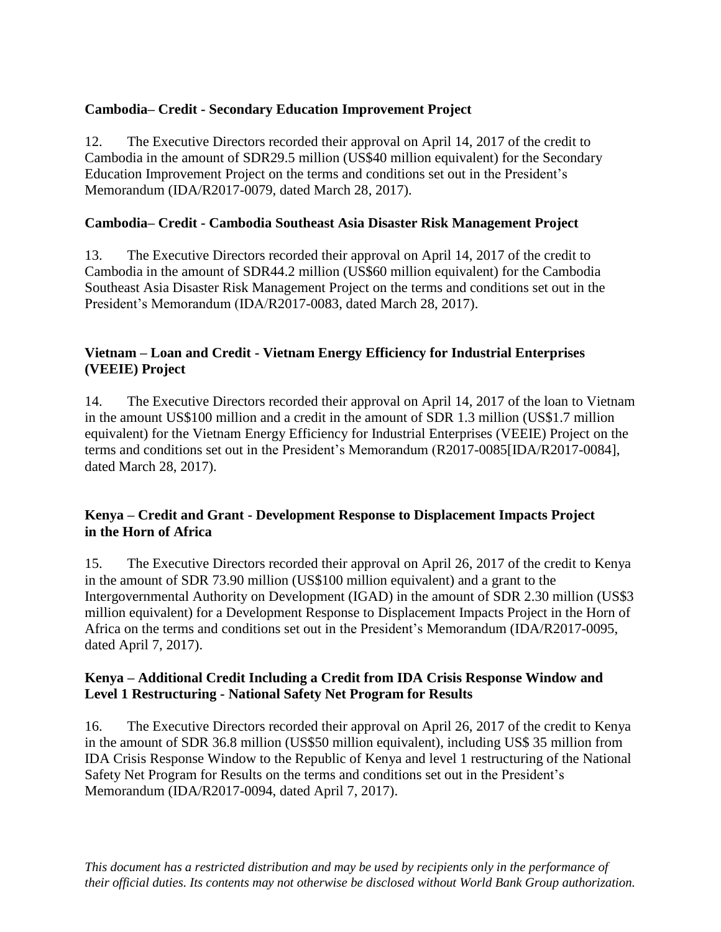## **Cambodia– Credit - Secondary Education Improvement Project**

12. The Executive Directors recorded their approval on April 14, 2017 of the credit to Cambodia in the amount of SDR29.5 million (US\$40 million equivalent) for the Secondary Education Improvement Project on the terms and conditions set out in the President's Memorandum (IDA/R2017-0079, dated March 28, 2017).

### **Cambodia– Credit - Cambodia Southeast Asia Disaster Risk Management Project**

13. The Executive Directors recorded their approval on April 14, 2017 of the credit to Cambodia in the amount of SDR44.2 million (US\$60 million equivalent) for the Cambodia Southeast Asia Disaster Risk Management Project on the terms and conditions set out in the President's Memorandum (IDA/R2017-0083, dated March 28, 2017).

## **Vietnam – Loan and Credit - Vietnam Energy Efficiency for Industrial Enterprises (VEEIE) Project**

14. The Executive Directors recorded their approval on April 14, 2017 of the loan to Vietnam in the amount US\$100 million and a credit in the amount of SDR 1.3 million (US\$1.7 million equivalent) for the Vietnam Energy Efficiency for Industrial Enterprises (VEEIE) Project on the terms and conditions set out in the President's Memorandum (R2017-0085[IDA/R2017-0084], dated March 28, 2017).

### **Kenya – Credit and Grant - Development Response to Displacement Impacts Project in the Horn of Africa**

15. The Executive Directors recorded their approval on April 26, 2017 of the credit to Kenya in the amount of SDR 73.90 million (US\$100 million equivalent) and a grant to the Intergovernmental Authority on Development (IGAD) in the amount of SDR 2.30 million (US\$3 million equivalent) for a Development Response to Displacement Impacts Project in the Horn of Africa on the terms and conditions set out in the President's Memorandum (IDA/R2017-0095, dated April 7, 2017).

### **Kenya – Additional Credit Including a Credit from IDA Crisis Response Window and Level 1 Restructuring - National Safety Net Program for Results**

16. The Executive Directors recorded their approval on April 26, 2017 of the credit to Kenya in the amount of SDR 36.8 million (US\$50 million equivalent), including US\$ 35 million from IDA Crisis Response Window to the Republic of Kenya and level 1 restructuring of the National Safety Net Program for Results on the terms and conditions set out in the President's Memorandum (IDA/R2017-0094, dated April 7, 2017).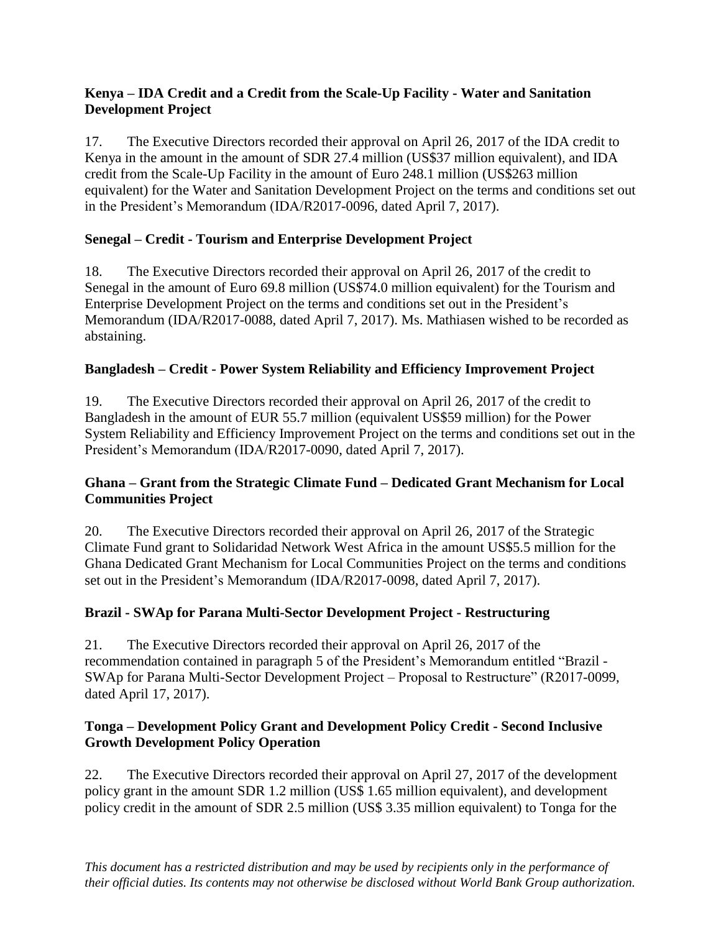### **Kenya – IDA Credit and a Credit from the Scale-Up Facility - Water and Sanitation Development Project**

17. The Executive Directors recorded their approval on April 26, 2017 of the IDA credit to Kenya in the amount in the amount of SDR 27.4 million (US\$37 million equivalent), and IDA credit from the Scale-Up Facility in the amount of Euro 248.1 million (US\$263 million equivalent) for the Water and Sanitation Development Project on the terms and conditions set out in the President's Memorandum (IDA/R2017-0096, dated April 7, 2017).

## **Senegal – Credit - Tourism and Enterprise Development Project**

18. The Executive Directors recorded their approval on April 26, 2017 of the credit to Senegal in the amount of Euro 69.8 million (US\$74.0 million equivalent) for the Tourism and Enterprise Development Project on the terms and conditions set out in the President's Memorandum (IDA/R2017-0088, dated April 7, 2017). Ms. Mathiasen wished to be recorded as abstaining.

# **Bangladesh – Credit - Power System Reliability and Efficiency Improvement Project**

19. The Executive Directors recorded their approval on April 26, 2017 of the credit to Bangladesh in the amount of EUR 55.7 million (equivalent US\$59 million) for the Power System Reliability and Efficiency Improvement Project on the terms and conditions set out in the President's Memorandum (IDA/R2017-0090, dated April 7, 2017).

## **Ghana – Grant from the Strategic Climate Fund – Dedicated Grant Mechanism for Local Communities Project**

20. The Executive Directors recorded their approval on April 26, 2017 of the Strategic Climate Fund grant to Solidaridad Network West Africa in the amount US\$5.5 million for the Ghana Dedicated Grant Mechanism for Local Communities Project on the terms and conditions set out in the President's Memorandum (IDA/R2017-0098, dated April 7, 2017).

## **Brazil - SWAp for Parana Multi-Sector Development Project - Restructuring**

21. The Executive Directors recorded their approval on April 26, 2017 of the recommendation contained in paragraph 5 of the President's Memorandum entitled "Brazil - SWAp for Parana Multi-Sector Development Project – Proposal to Restructure" (R2017-0099, dated April 17, 2017).

### **Tonga – Development Policy Grant and Development Policy Credit - Second Inclusive Growth Development Policy Operation**

22. The Executive Directors recorded their approval on April 27, 2017 of the development policy grant in the amount SDR 1.2 million (US\$ 1.65 million equivalent), and development policy credit in the amount of SDR 2.5 million (US\$ 3.35 million equivalent) to Tonga for the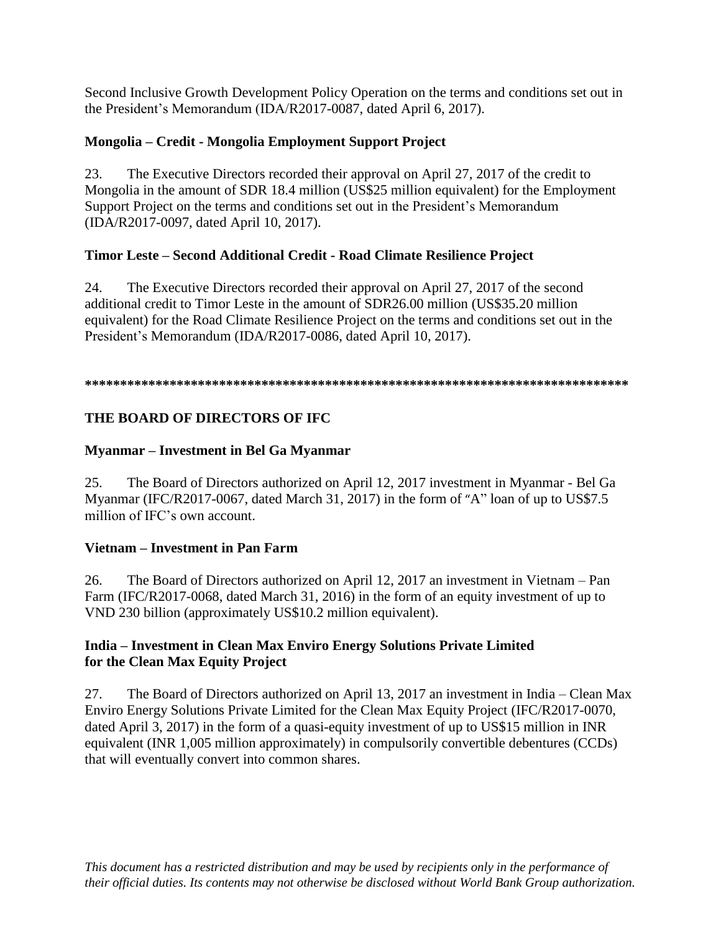Second Inclusive Growth Development Policy Operation on the terms and conditions set out in the President's Memorandum (IDA/R2017-0087, dated April 6, 2017).

# **Mongolia – Credit - Mongolia Employment Support Project**

23. The Executive Directors recorded their approval on April 27, 2017 of the credit to Mongolia in the amount of SDR 18.4 million (US\$25 million equivalent) for the Employment Support Project on the terms and conditions set out in the President's Memorandum (IDA/R2017-0097, dated April 10, 2017).

# **Timor Leste – Second Additional Credit - Road Climate Resilience Project**

24. The Executive Directors recorded their approval on April 27, 2017 of the second additional credit to Timor Leste in the amount of SDR26.00 million (US\$35.20 million equivalent) for the Road Climate Resilience Project on the terms and conditions set out in the President's Memorandum (IDA/R2017-0086, dated April 10, 2017).

#### **\*\*\*\*\*\*\*\*\*\*\*\*\*\*\*\*\*\*\*\*\*\*\*\*\*\*\*\*\*\*\*\*\*\*\*\*\*\*\*\*\*\*\*\*\*\*\*\*\*\*\*\*\*\*\*\*\*\*\*\*\*\*\*\*\*\*\*\*\*\*\*\*\*\*\*\*\***

# **THE BOARD OF DIRECTORS OF IFC**

# **Myanmar – Investment in Bel Ga Myanmar**

25. The Board of Directors authorized on April 12, 2017 investment in Myanmar - Bel Ga Myanmar (IFC/R2017-0067, dated March 31, 2017) in the form of "A" loan of up to US\$7.5 million of IFC's own account.

## **Vietnam – Investment in Pan Farm**

26. The Board of Directors authorized on April 12, 2017 an investment in Vietnam – Pan Farm (IFC/R2017-0068, dated March 31, 2016) in the form of an equity investment of up to VND 230 billion (approximately US\$10.2 million equivalent).

### **India – Investment in Clean Max Enviro Energy Solutions Private Limited for the Clean Max Equity Project**

27. The Board of Directors authorized on April 13, 2017 an investment in India – Clean Max Enviro Energy Solutions Private Limited for the Clean Max Equity Project (IFC/R2017-0070, dated April 3, 2017) in the form of a quasi-equity investment of up to US\$15 million in INR equivalent (INR 1,005 million approximately) in compulsorily convertible debentures (CCDs) that will eventually convert into common shares.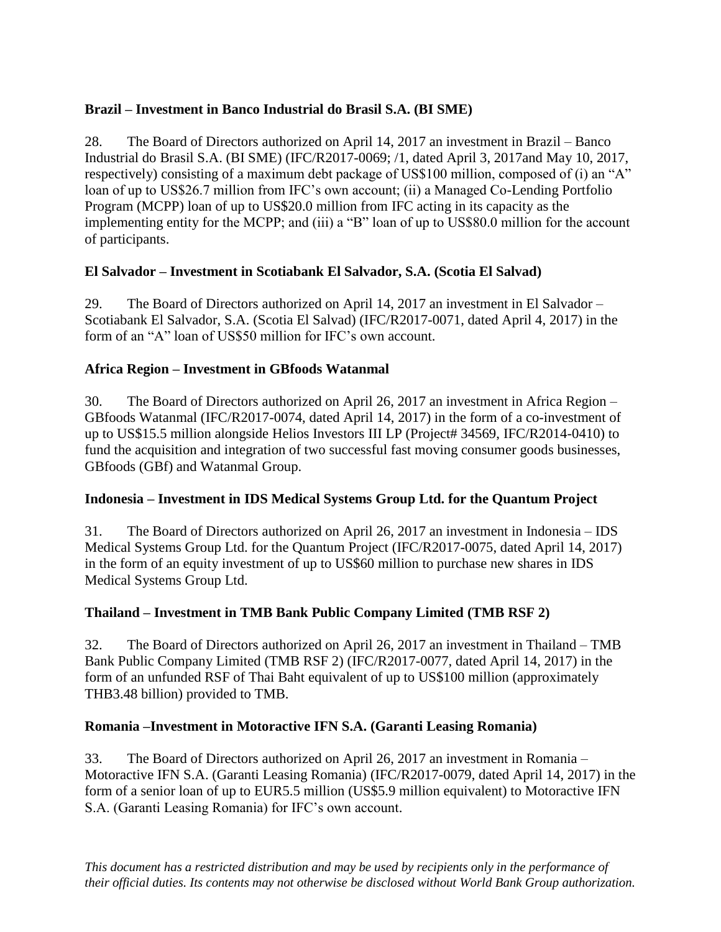## **Brazil – Investment in Banco Industrial do Brasil S.A. (BI SME)**

28. The Board of Directors authorized on April 14, 2017 an investment in Brazil – Banco Industrial do Brasil S.A. (BI SME) (IFC/R2017-0069; /1, dated April 3, 2017and May 10, 2017, respectively) consisting of a maximum debt package of US\$100 million, composed of (i) an "A" loan of up to US\$26.7 million from IFC's own account; (ii) a Managed Co-Lending Portfolio Program (MCPP) loan of up to US\$20.0 million from IFC acting in its capacity as the implementing entity for the MCPP; and (iii) a "B" loan of up to US\$80.0 million for the account of participants.

## **El Salvador – Investment in Scotiabank El Salvador, S.A. (Scotia El Salvad)**

29. The Board of Directors authorized on April 14, 2017 an investment in El Salvador – Scotiabank El Salvador, S.A. (Scotia El Salvad) (IFC/R2017-0071, dated April 4, 2017) in the form of an "A" loan of US\$50 million for IFC's own account.

## **Africa Region – Investment in GBfoods Watanmal**

30. The Board of Directors authorized on April 26, 2017 an investment in Africa Region – GBfoods Watanmal (IFC/R2017-0074, dated April 14, 2017) in the form of a co-investment of up to US\$15.5 million alongside Helios Investors III LP (Project# 34569, IFC/R2014-0410) to fund the acquisition and integration of two successful fast moving consumer goods businesses, GBfoods (GBf) and Watanmal Group.

## **Indonesia – Investment in IDS Medical Systems Group Ltd. for the Quantum Project**

31. The Board of Directors authorized on April 26, 2017 an investment in Indonesia – IDS Medical Systems Group Ltd. for the Quantum Project (IFC/R2017-0075, dated April 14, 2017) in the form of an equity investment of up to US\$60 million to purchase new shares in IDS Medical Systems Group Ltd.

## **Thailand – Investment in TMB Bank Public Company Limited (TMB RSF 2)**

32. The Board of Directors authorized on April 26, 2017 an investment in Thailand – TMB Bank Public Company Limited (TMB RSF 2) (IFC/R2017-0077, dated April 14, 2017) in the form of an unfunded RSF of Thai Baht equivalent of up to US\$100 million (approximately THB3.48 billion) provided to TMB.

## **Romania –Investment in Motoractive IFN S.A. (Garanti Leasing Romania)**

33. The Board of Directors authorized on April 26, 2017 an investment in Romania – Motoractive IFN S.A. (Garanti Leasing Romania) (IFC/R2017-0079, dated April 14, 2017) in the form of a senior loan of up to EUR5.5 million (US\$5.9 million equivalent) to Motoractive IFN S.A. (Garanti Leasing Romania) for IFC's own account.